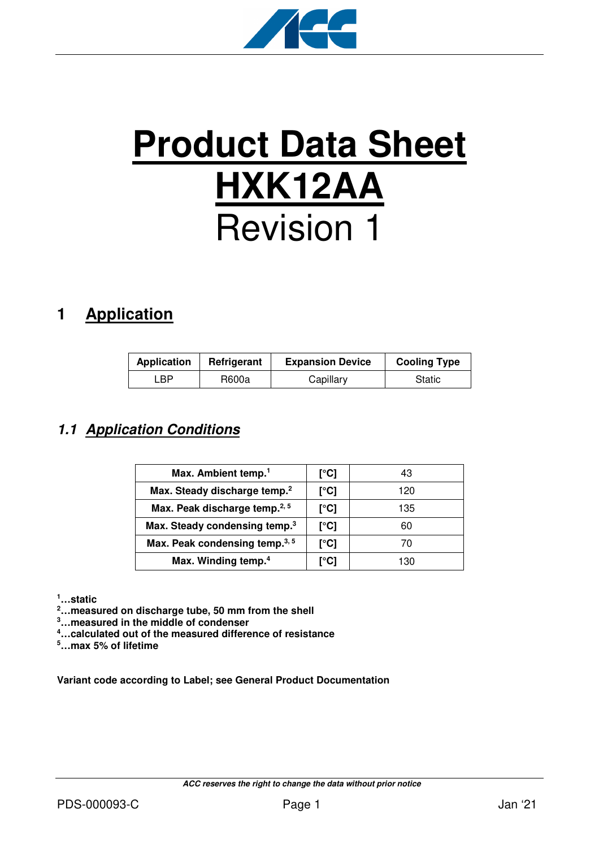

# **Product Data Sheet HXK12AA** Revision 1

# **1 Application**

| <b>Application</b> | Refrigerant | <b>Expansion Device</b> | <b>Cooling Type</b> |
|--------------------|-------------|-------------------------|---------------------|
| ∟BP.               | R600a       | Capillary               | Static              |

## **1.1 Application Conditions**

| Max. Ambient temp. <sup>1</sup>            | [°C] | 43  |
|--------------------------------------------|------|-----|
| Max. Steady discharge temp. <sup>2</sup>   | [°C] | 120 |
| Max. Peak discharge temp. <sup>2, 5</sup>  | [°C] | 135 |
| Max. Steady condensing temp. <sup>3</sup>  | [°C] | 60  |
| Max. Peak condensing temp. <sup>3, 5</sup> | [°C] | 70  |
| Max. Winding temp. <sup>4</sup>            | r°C1 | 130 |

**<sup>1</sup>…static** 

**<sup>2</sup>…measured on discharge tube, 50 mm from the shell** 

**<sup>3</sup>…measured in the middle of condenser** 

**<sup>4</sup>…calculated out of the measured difference of resistance** 

**<sup>5</sup>…max 5% of lifetime** 

**Variant code according to Label; see General Product Documentation**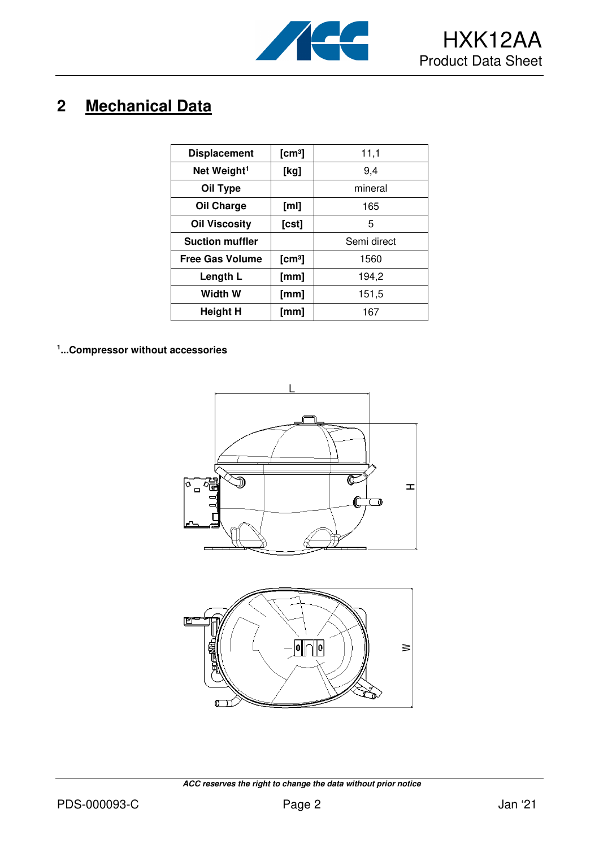

# **2 Mechanical Data**

| <b>Displacement</b>     | [cm <sup>3</sup> ] | 11,1        |
|-------------------------|--------------------|-------------|
| Net Weight <sup>1</sup> | [kg]               | 9,4         |
| Oil Type                |                    | mineral     |
| Oil Charge              | [ml]               | 165         |
| <b>Oil Viscosity</b>    | [cst]              | 5           |
| <b>Suction muffler</b>  |                    | Semi direct |
| <b>Free Gas Volume</b>  | [cm <sup>3</sup> ] | 1560        |
| Length L                | [mm]               | 194,2       |
| Width W                 | [mm]               | 151,5       |
| <b>Height H</b>         | [mm]               | 167         |

**1 ...Compressor without accessories**





 **ACC reserves the right to change the data without prior notice**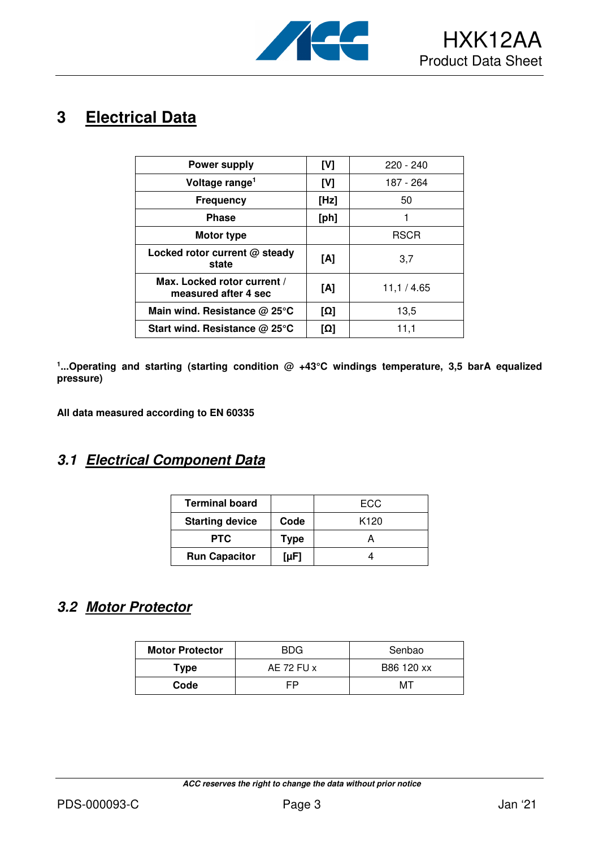

## **3 Electrical Data**

| <b>Power supply</b>                                 | [V]  | $220 - 240$ |
|-----------------------------------------------------|------|-------------|
| Voltage range <sup>1</sup>                          | [V]  | 187 - 264   |
| <b>Frequency</b>                                    | [Hz] | 50          |
| <b>Phase</b>                                        | [ph] |             |
| Motor type                                          |      | <b>RSCR</b> |
| Locked rotor current @ steady<br>state              | [A]  | 3,7         |
| Max. Locked rotor current /<br>measured after 4 sec | [A]  | 11,1 / 4.65 |
| Main wind. Resistance $@$ 25 $°C$                   | [Ω]  | 13,5        |
| Start wind. Resistance $@$ 25 $°C$                  | [Ω]  | 11,1        |

<sup>1</sup>...Operating and starting (starting condition @ +43°C windings temperature, 3,5 barA equalized **pressure)** 

**All data measured according to EN 60335** 

### **3.1 Electrical Component Data**

| <b>Terminal board</b>  |                                | ECC.             |
|------------------------|--------------------------------|------------------|
| <b>Starting device</b> | Code                           | K <sub>120</sub> |
| <b>PTC</b>             | <b>Type</b>                    |                  |
| <b>Run Capacitor</b>   | $\lceil \mu \mathsf{F} \rceil$ |                  |

#### **3.2 Motor Protector**

| <b>Motor Protector</b> | <b>BDG</b> | Senbao     |
|------------------------|------------|------------|
| Type                   | AE 72 FU x | B86 120 xx |
| Code                   | FP         | MТ         |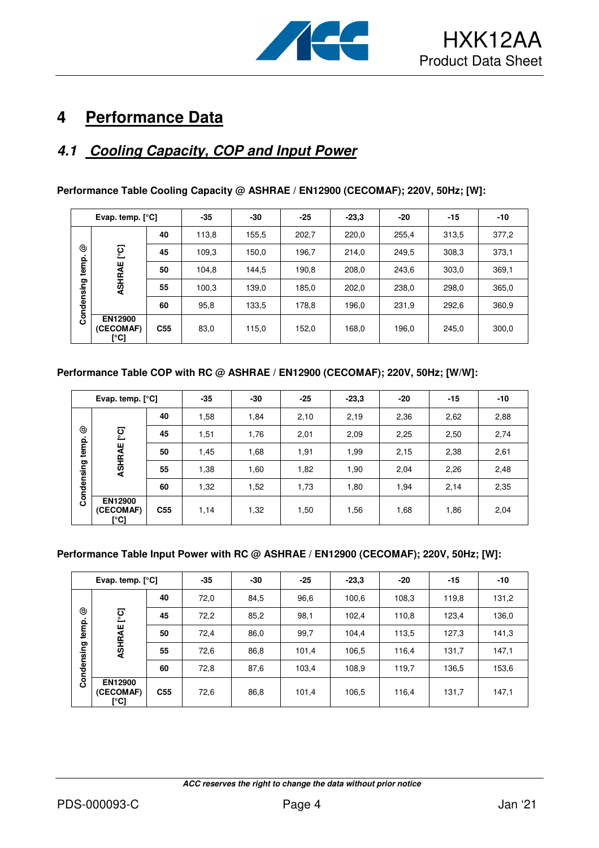

# **4 Performance Data**

## **4.1 Cooling Capacity, COP and Input Power**

| Evap. temp. $[°C]$ |                              | $-35$           | -30   | $-25$ | $-23.3$ | $-20$ | $-15$ | $-10$ |       |
|--------------------|------------------------------|-----------------|-------|-------|---------|-------|-------|-------|-------|
|                    |                              | 40              | 113,8 | 155,5 | 202,7   | 220,0 | 255,4 | 313,5 | 377,2 |
| ☺                  | ုတ္                          | 45              | 109,3 | 150,0 | 196,7   | 214.0 | 249,5 | 308,3 | 373.1 |
| temp.              | ASHRAE                       | 50              | 104,8 | 144,5 | 190,8   | 208,0 | 243,6 | 303,0 | 369,1 |
|                    |                              | 55              | 100,3 | 139,0 | 185,0   | 202,0 | 238,0 | 298,0 | 365,0 |
| Condensing         |                              | 60              | 95,8  | 133,5 | 178,8   | 196,0 | 231.9 | 292,6 | 360,9 |
|                    | EN12900<br>(CECOMAF)<br>[°C] | C <sub>55</sub> | 83,0  | 115,0 | 152,0   | 168,0 | 196,0 | 245,0 | 300,0 |

#### **Performance Table Cooling Capacity @ ASHRAE / EN12900 (CECOMAF); 220V, 50Hz; [W]:**

#### **Performance Table COP with RC @ ASHRAE / EN12900 (CECOMAF); 220V, 50Hz; [W/W]:**

| Evap. temp. $[°C]$                        |                                     | $-35$           | $-30$ | $-25$ | $-23,3$ | -20  | $-15$ | $-10$ |      |
|-------------------------------------------|-------------------------------------|-----------------|-------|-------|---------|------|-------|-------|------|
| ල<br>ုတ္<br>temp.<br>ASHRAE<br>Condensing |                                     | 40              | 1,58  | 1,84  | 2,10    | 2,19 | 2,36  | 2,62  | 2,88 |
|                                           | 45                                  | 1,51            | 1,76  | 2,01  | 2,09    | 2,25 | 2,50  | 2,74  |      |
|                                           | 50                                  | 1,45            | 1,68  | 1,91  | 1,99    | 2,15 | 2,38  | 2,61  |      |
|                                           | 55                                  | 1,38            | 1,60  | 1,82  | 1,90    | 2,04 | 2,26  | 2,48  |      |
|                                           |                                     | 60              | 1,32  | 1,52  | 1,73    | 1,80 | 1,94  | 2,14  | 2,35 |
|                                           | <b>EN12900</b><br>(CECOMAF)<br>[°C] | C <sub>55</sub> | 1,14  | 1,32  | 1,50    | 1,56 | 1,68  | 1,86  | 2,04 |

#### **Performance Table Input Power with RC @ ASHRAE / EN12900 (CECOMAF); 220V, 50Hz; [W]:**

|            | Evap. temp. $[°C]$                  |                 | $-35$ | $-30$ | $-25$ | $-23,3$ | $-20$ | $-15$ | -10   |
|------------|-------------------------------------|-----------------|-------|-------|-------|---------|-------|-------|-------|
|            |                                     | 40              | 72,0  | 84,5  | 96.6  | 100,6   | 108,3 | 119,8 | 131,2 |
| ☺<br>٠     | ုင္င                                | 45              | 72,2  | 85,2  | 98.1  | 102,4   | 110,8 | 123,4 | 136,0 |
| temp.      | ASHRAE                              | 50              | 72,4  | 86,0  | 99,7  | 104,4   | 113,5 | 127,3 | 141,3 |
|            |                                     | 55              | 72,6  | 86,8  | 101,4 | 106,5   | 116,4 | 131,7 | 147,1 |
| Condensing |                                     | 60              | 72,8  | 87,6  | 103,4 | 108,9   | 119,7 | 136,5 | 153,6 |
|            | <b>EN12900</b><br>(CECOMAF)<br>[°C] | C <sub>55</sub> | 72,6  | 86,8  | 101,4 | 106,5   | 116,4 | 131,7 | 147,1 |